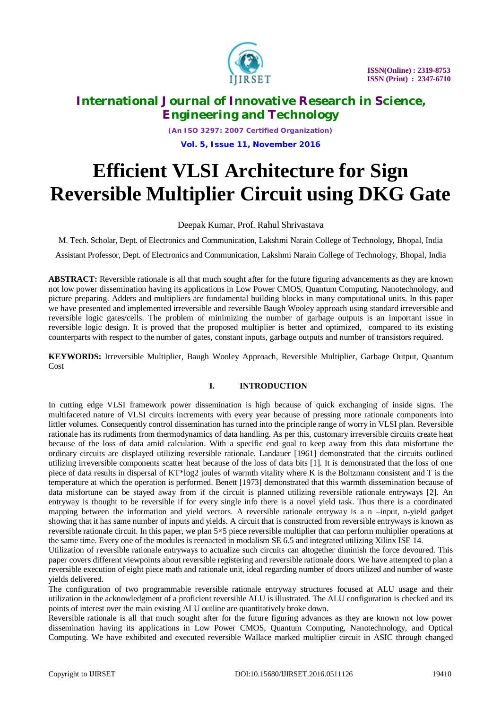

*(An ISO 3297: 2007 Certified Organization)* **Vol. 5, Issue 11, November 2016**

# **Efficient VLSI Architecture for Sign Reversible Multiplier Circuit using DKG Gate**

# Deepak Kumar, Prof. Rahul Shrivastava

M. Tech. Scholar, Dept. of Electronics and Communication, Lakshmi Narain College of Technology, Bhopal, India

Assistant Professor, Dept. of Electronics and Communication, Lakshmi Narain College of Technology, Bhopal, India

**ABSTRACT:** Reversible rationale is all that much sought after for the future figuring advancements as they are known not low power dissemination having its applications in Low Power CMOS, Quantum Computing, Nanotechnology, and picture preparing. Adders and multipliers are fundamental building blocks in many computational units. In this paper we have presented and implemented irreversible and reversible Baugh Wooley approach using standard irreversible and reversible logic gates/cells. The problem of minimizing the number of garbage outputs is an important issue in reversible logic design. It is proved that the proposed multiplier is better and optimized, compared to its existing counterparts with respect to the number of gates, constant inputs, garbage outputs and number of transistors required.

**KEYWORDS:** Irreversible Multiplier, Baugh Wooley Approach, Reversible Multiplier, Garbage Output, Quantum Cost

## **I. INTRODUCTION**

In cutting edge VLSI framework power dissemination is high because of quick exchanging of inside signs. The multifaceted nature of VLSI circuits increments with every year because of pressing more rationale components into littler volumes. Consequently control dissemination has turned into the principle range of worry in VLSI plan. Reversible rationale has its rudiments from thermodynamics of data handling. As per this, customary irreversible circuits create heat because of the loss of data amid calculation. With a specific end goal to keep away from this data misfortune the ordinary circuits are displayed utilizing reversible rationale. Landauer [1961] demonstrated that the circuits outlined utilizing irreversible components scatter heat because of the loss of data bits [1]. It is demonstrated that the loss of one piece of data results in dispersal of KT\*log2 joules of warmth vitality where K is the Boltzmann consistent and T is the temperature at which the operation is performed. Benett [1973] demonstrated that this warmth dissemination because of data misfortune can be stayed away from if the circuit is planned utilizing reversible rationale entryways [2]. An entryway is thought to be reversible if for every single info there is a novel yield task. Thus there is a coordinated mapping between the information and yield vectors. A reversible rationale entryway is a n –input, n-yield gadget showing that it has same number of inputs and yields. A circuit that is constructed from reversible entryways is known as reversible rationale circuit. In this paper, we plan 5×5 piece reversible multiplier that can perform multiplier operations at the same time. Every one of the modules is reenacted in modalism SE 6.5 and integrated utilizing Xilinx ISE 14.

Utilization of reversible rationale entryways to actualize such circuits can altogether diminish the force devoured. This paper covers different viewpoints about reversible registering and reversible rationale doors. We have attempted to plan a reversible execution of eight piece math and rationale unit, ideal regarding number of doors utilized and number of waste yields delivered.

The configuration of two programmable reversible rationale entryway structures focused at ALU usage and their utilization in the acknowledgment of a proficient reversible ALU is illustrated. The ALU configuration is checked and its points of interest over the main existing ALU outline are quantitatively broke down.

Reversible rationale is all that much sought after for the future figuring advances as they are known not low power dissemination having its applications in Low Power CMOS, Quantum Computing, Nanotechnology, and Optical Computing. We have exhibited and executed reversible Wallace marked multiplier circuit in ASIC through changed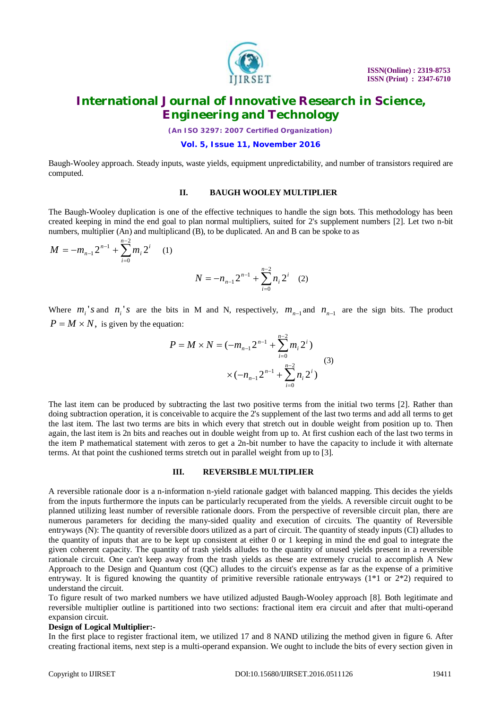

*(An ISO 3297: 2007 Certified Organization)*

**Vol. 5, Issue 11, November 2016**

Baugh-Wooley approach. Steady inputs, waste yields, equipment unpredictability, and number of transistors required are computed.

### **II. BAUGH WOOLEY MULTIPLIER**

The Baugh-Wooley duplication is one of the effective techniques to handle the sign bots. This methodology has been created keeping in mind the end goal to plan normal multipliers, suited for 2's supplement numbers [2]. Let two n-bit numbers, multiplier (An) and multiplicand (B), to be duplicated. An and B can be spoke to as

$$
M = -m_{n-1}2^{n-1} + \sum_{i=0}^{n-2} m_i 2^i \qquad (1)
$$
  

$$
N = -n_{n-1}2^{n-1} + \sum_{i=0}^{n-2} n_i 2^i \qquad (2)
$$

Where  $m_i$ 's and  $n_i$ 's are the bits in M and N, respectively,  $m_{n-1}$  and  $n_{n-1}$  are the sign bits. The product  $P = M \times N$ , is given by the equation:

 $\sum_{n=2}^{n-2}$ =

*n*

*i*

2

*i*

 $\mathbf{0}$ 

$$
P = M \times N = (-m_{n-1}2^{n-1} + \sum_{i=0}^{n-2} m_i 2^i)
$$
  
 
$$
\times (-n_{n-1}2^{n-1} + \sum_{i=0}^{n-2} n_i 2^i)
$$
 (3)

The last item can be produced by subtracting the last two positive terms from the initial two terms [2]. Rather than doing subtraction operation, it is conceivable to acquire the 2's supplement of the last two terms and add all terms to get the last item. The last two terms are bits in which every that stretch out in double weight from position up to. Then again, the last item is 2n bits and reaches out in double weight from up to. At first cushion each of the last two terms in the item P mathematical statement with zeros to get a 2n-bit number to have the capacity to include it with alternate terms. At that point the cushioned terms stretch out in parallel weight from up to [3].

#### **III. REVERSIBLE MULTIPLIER**

A reversible rationale door is a n-information n-yield rationale gadget with balanced mapping. This decides the yields from the inputs furthermore the inputs can be particularly recuperated from the yields. A reversible circuit ought to be planned utilizing least number of reversible rationale doors. From the perspective of reversible circuit plan, there are numerous parameters for deciding the many-sided quality and execution of circuits. The quantity of Reversible entryways (N): The quantity of reversible doors utilized as a part of circuit. The quantity of steady inputs (CI) alludes to the quantity of inputs that are to be kept up consistent at either 0 or 1 keeping in mind the end goal to integrate the given coherent capacity. The quantity of trash yields alludes to the quantity of unused yields present in a reversible rationale circuit. One can't keep away from the trash yields as these are extremely crucial to accomplish A New Approach to the Design and Quantum cost (QC) alludes to the circuit's expense as far as the expense of a primitive entryway. It is figured knowing the quantity of primitive reversible rationale entryways  $(1^*1 \text{ or } 2^*2)$  required to understand the circuit.

To figure result of two marked numbers we have utilized adjusted Baugh-Wooley approach [8]. Both legitimate and reversible multiplier outline is partitioned into two sections: fractional item era circuit and after that multi-operand expansion circuit.

#### **Design of Logical Multiplier:-**

In the first place to register fractional item, we utilized 17 and 8 NAND utilizing the method given in figure 6. After creating fractional items, next step is a multi-operand expansion. We ought to include the bits of every section given in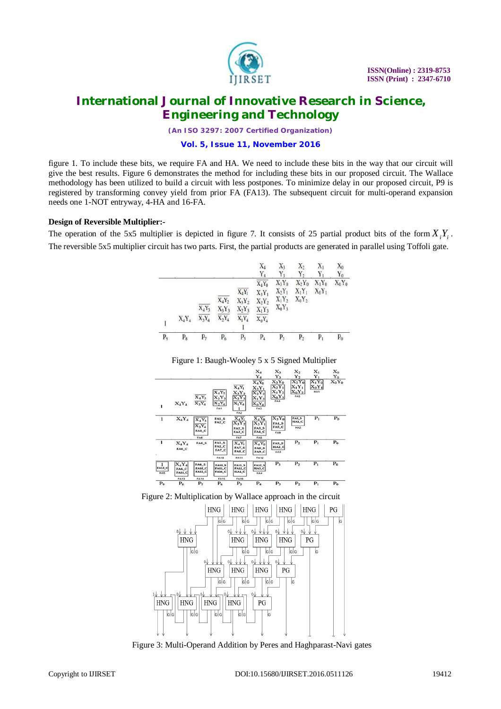

*(An ISO 3297: 2007 Certified Organization)*

**Vol. 5, Issue 11, November 2016**

figure 1. To include these bits, we require FA and HA. We need to include these bits in the way that our circuit will give the best results. Figure 6 demonstrates the method for including these bits in our proposed circuit. The Wallace methodology has been utilized to build a circuit with less postpones. To minimize delay in our proposed circuit, P9 is registered by transforming convey yield from prior FA (FA13). The subsequent circuit for multi-operand expansion needs one 1-NOT entryway, 4-HA and 16-FA.

### **Design of Reversible Multiplier:-**

The operation of the 5x5 multiplier is depicted in figure 7. It consists of 25 partial product bits of the form  $X_i Y_i$ . The reversible 5x5 multiplier circuit has two parts. First, the partial products are generated in parallel using Toffoli gate.



### Figure 1: Baugh-Wooley 5 x 5 Signed Multiplier



Figure 2: Multiplication by Wallace approach in the circuit



Figure 3: Multi-Operand Addition by Peres and Haghparast-Navi gates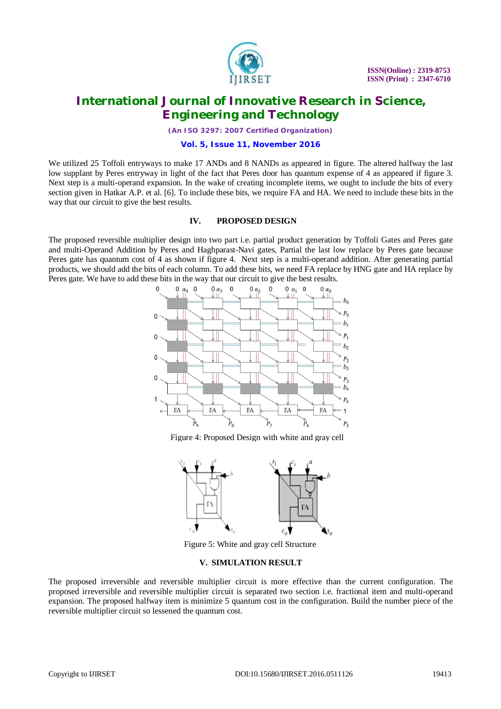

*(An ISO 3297: 2007 Certified Organization)*

#### **Vol. 5, Issue 11, November 2016**

We utilized 25 Toffoli entryways to make 17 ANDs and 8 NANDs as appeared in figure. The altered halfway the last low supplant by Peres entryway in light of the fact that Peres door has quantum expense of 4 as appeared if figure 3. Next step is a multi-operand expansion. In the wake of creating incomplete items, we ought to include the bits of every section given in Hatkar A.P. et al. [6]. To include these bits, we require FA and HA. We need to include these bits in the way that our circuit to give the best results.

#### **IV. PROPOSED DESIGN**

The proposed reversible multiplier design into two part i.e. partial product generation by Toffoli Gates and Peres gate and multi-Operand Addition by Peres and Haghparast-Navi gates, Partial the last low replace by Peres gate because Peres gate has quantum cost of 4 as shown if figure 4. Next step is a multi-operand addition. After generating partial products, we should add the bits of each column. To add these bits, we need FA replace by HNG gate and HA replace by Peres gate. We have to add these bits in the way that our circuit to give the best results.



Figure 4: Proposed Design with white and gray cell



Figure 5: White and gray cell Structure

### **V. SIMULATION RESULT**

The proposed irreversible and reversible multiplier circuit is more effective than the current configuration. The proposed irreversible and reversible multiplier circuit is separated two section i.e. fractional item and multi-operand expansion. The proposed halfway item is minimize 5 quantum cost in the configuration. Build the number piece of the reversible multiplier circuit so lessened the quantum cost.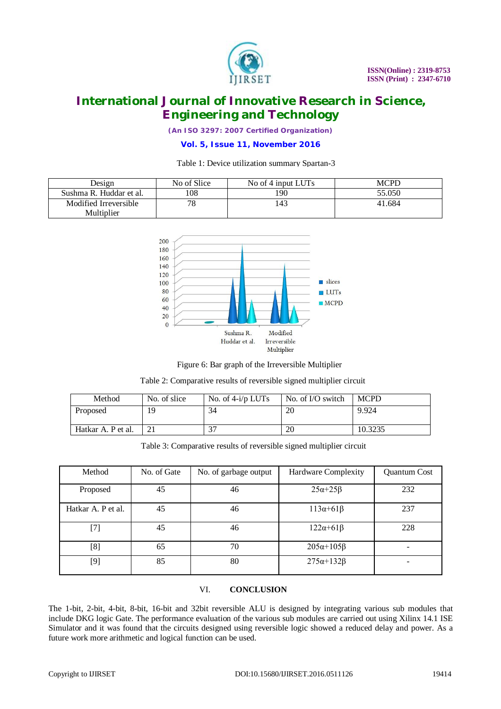

*(An ISO 3297: 2007 Certified Organization)*

### **Vol. 5, Issue 11, November 2016**

### Table 1: Device utilization summary Spartan-3

| Design                  | No of Slice | No of 4 input LUTs | MCPD   |
|-------------------------|-------------|--------------------|--------|
| Sushma R. Huddar et al. | !08         | 190                | 55.050 |
| Modified Irreversible   | 70          | 143                | 41.684 |
| Multiplier              |             |                    |        |



Figure 6: Bar graph of the Irreversible Multiplier

| Table 2: Comparative results of reversible signed multiplier circuit |  |  |  |
|----------------------------------------------------------------------|--|--|--|
|                                                                      |  |  |  |

| Method             | No. of slice | No. of $4-i/p$ LUTs | No. of I/O switch | <b>MCPD</b> |
|--------------------|--------------|---------------------|-------------------|-------------|
| Proposed           | 19           | 34                  | 20                | 9.924       |
| Hatkar A. P et al. |              | っっ                  | 20                | 10.3235     |

Table 3: Comparative results of reversible signed multiplier circuit

| Method                                                                                                                                                                                                                                                                                       | No. of Gate | No. of garbage output | Hardware Complexity   | Quantum Cost |
|----------------------------------------------------------------------------------------------------------------------------------------------------------------------------------------------------------------------------------------------------------------------------------------------|-------------|-----------------------|-----------------------|--------------|
| Proposed                                                                                                                                                                                                                                                                                     | 45          | 46                    | $25\alpha + 25\beta$  | 232          |
| Hatkar A. P et al.                                                                                                                                                                                                                                                                           | 45          | 46                    | $113\alpha + 61\beta$ | 237          |
| $[7] % \includegraphics[width=0.9\columnwidth]{figures/fig_10.pdf} \caption{The 3D (black) model for the estimators in the left and right. The left and right is the same as in the right.} \label{fig:2}$                                                                                   | 45          | 46                    | $122\alpha + 61\beta$ | 228          |
| $^{[8]}$                                                                                                                                                                                                                                                                                     | 65          | 70                    | $205\alpha+105\beta$  |              |
| $[9] % \begin{subfigure}[t]{0.45\textwidth} \includegraphics[width=\textwidth]{figures/fig_10.pdf} \caption{The 3D (top) and the 4D (bottom) of the 3D (bottom) of the 3D (bottom) of the 3D (bottom) of the 3D (bottom) of the 3D (bottom).} \label{fig:1} \end{subfigure} \vspace{-1.0mm}$ | 85          | 80                    | $275\alpha+132\beta$  |              |

# VI. **CONCLUSION**

The 1-bit, 2-bit, 4-bit, 8-bit, 16-bit and 32bit reversible ALU is designed by integrating various sub modules that include DKG logic Gate. The performance evaluation of the various sub modules are carried out using Xilinx 14.1 ISE Simulator and it was found that the circuits designed using reversible logic showed a reduced delay and power. As a future work more arithmetic and logical function can be used.